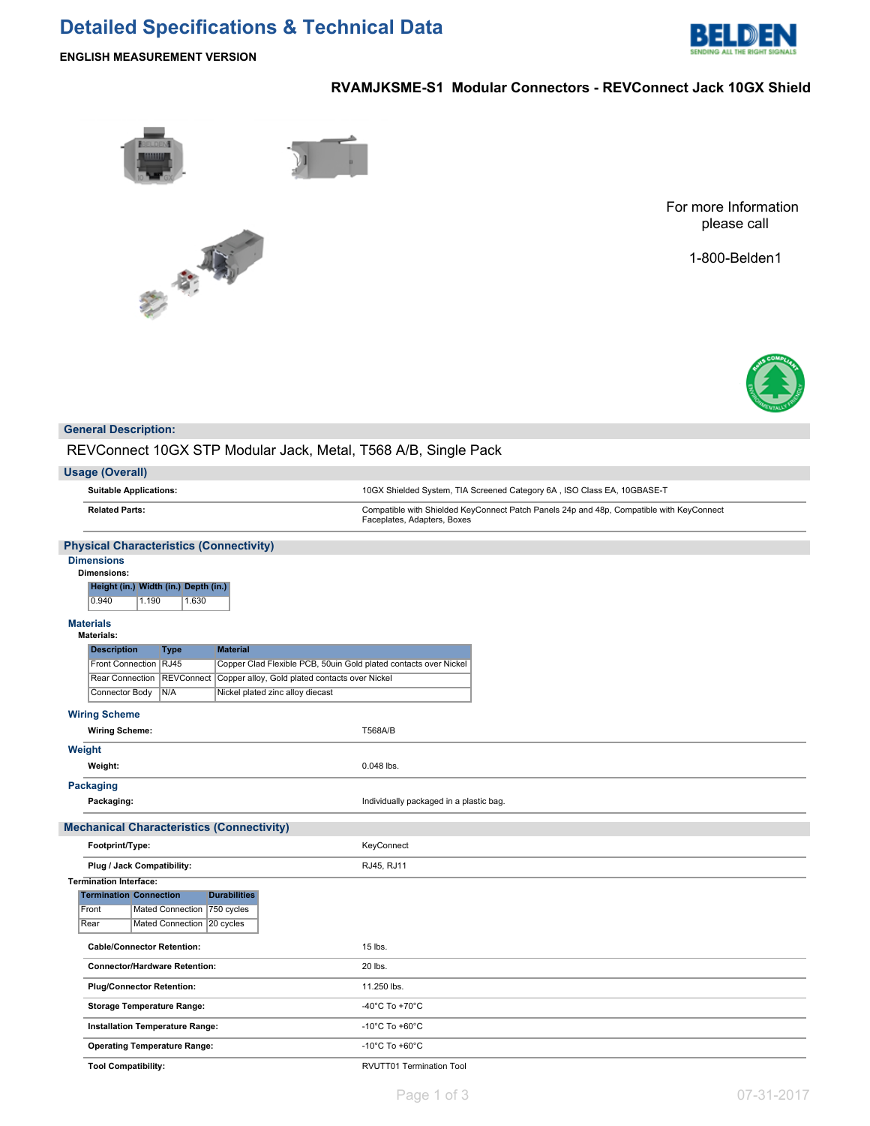## **Detailed Specifications & Technical Data**



**ENGLISH MEASUREMENT VERSION**

## **RVAMJKSME-S1 Modular Connectors - REVConnect Jack 10GX Shield**





For more Information please call

1-800-Belden1



## **General Description:**

REVConnect 10GX STP Modular Jack, Metal, T568 A/B, Single Pack

| <b>Usage (Overall)</b>                                                                                     |                                                                                                                         |
|------------------------------------------------------------------------------------------------------------|-------------------------------------------------------------------------------------------------------------------------|
| <b>Suitable Applications:</b>                                                                              | 10GX Shielded System, TIA Screened Category 6A, ISO Class EA, 10GBASE-T                                                 |
| <b>Related Parts:</b>                                                                                      | Compatible with Shielded KeyConnect Patch Panels 24p and 48p, Compatible with KeyConnect<br>Faceplates, Adapters, Boxes |
| <b>Physical Characteristics (Connectivity)</b>                                                             |                                                                                                                         |
| <b>Dimensions</b><br><b>Dimensions:</b><br>Height (in.) Width (in.) Depth (in.)<br>0.940<br>1.190<br>1.630 |                                                                                                                         |
| <b>Materials</b><br><b>Materials:</b>                                                                      |                                                                                                                         |
| <b>Description</b><br><b>Material</b><br><b>Type</b>                                                       |                                                                                                                         |
| Front Connection RJ45<br>Copper Clad Flexible PCB, 50uin Gold plated contacts over Nickel                  |                                                                                                                         |
| Rear Connection   REVConnect<br>Copper alloy, Gold plated contacts over Nickel                             |                                                                                                                         |
| Connector Body<br>N/A<br>Nickel plated zinc alloy diecast                                                  |                                                                                                                         |
| <b>Wiring Scheme</b>                                                                                       |                                                                                                                         |
| <b>Wiring Scheme:</b>                                                                                      | <b>T568A/B</b>                                                                                                          |
| Weight                                                                                                     |                                                                                                                         |
| Weight:                                                                                                    | 0.048 lbs.                                                                                                              |
| Packaging                                                                                                  |                                                                                                                         |
| Packaging:                                                                                                 | Individually packaged in a plastic bag.                                                                                 |
| <b>Mechanical Characteristics (Connectivity)</b>                                                           |                                                                                                                         |
| Footprint/Type:                                                                                            | KeyConnect                                                                                                              |
| Plug / Jack Compatibility:                                                                                 | RJ45, RJ11                                                                                                              |
| <b>Termination Interface:</b>                                                                              |                                                                                                                         |
| <b>Termination Connection</b><br><b>Durabilities</b>                                                       |                                                                                                                         |
| 750 cycles<br>Front<br><b>Mated Connection</b>                                                             |                                                                                                                         |
| Rear<br>Mated Connection<br>20 cycles                                                                      |                                                                                                                         |
| <b>Cable/Connector Retention:</b>                                                                          | 15 lbs.                                                                                                                 |
| <b>Connector/Hardware Retention:</b>                                                                       | 20 lbs.                                                                                                                 |
| <b>Plug/Connector Retention:</b>                                                                           | 11.250 lbs.                                                                                                             |
| <b>Storage Temperature Range:</b>                                                                          | -40°C To +70°C                                                                                                          |
| Installation Temperature Range:                                                                            | -10 $^{\circ}$ C To +60 $^{\circ}$ C                                                                                    |
| <b>Operating Temperature Range:</b>                                                                        | -10 $^{\circ}$ C To +60 $^{\circ}$ C                                                                                    |
| <b>Tool Compatibility:</b>                                                                                 | RVUTT01 Termination Tool                                                                                                |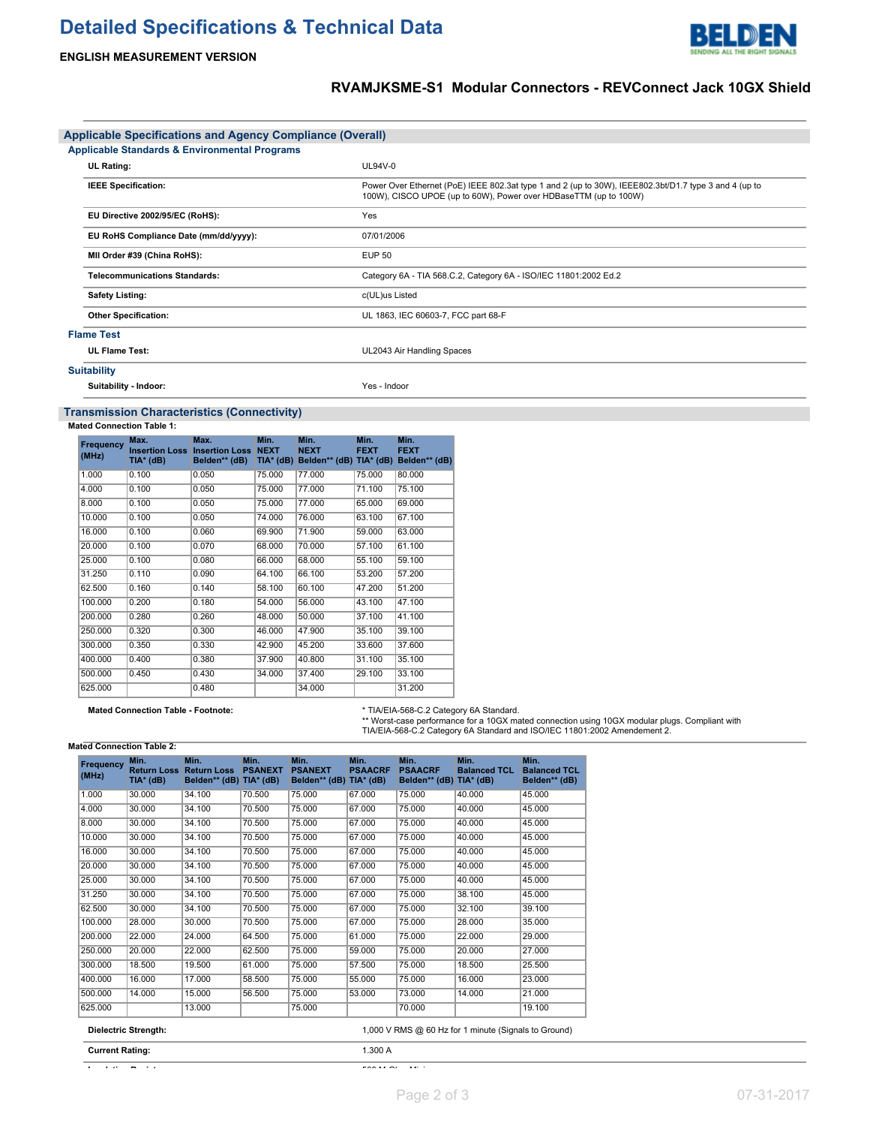# **Detailed Specifications & Technical Data**



## **ENGLISH MEASUREMENT VERSION**

## **RVAMJKSME-S1 Modular Connectors - REVConnect Jack 10GX Shield**

| <b>Applicable Specifications and Agency Compliance (Overall)</b> |                                                                                                                                                                           |  |  |  |  |
|------------------------------------------------------------------|---------------------------------------------------------------------------------------------------------------------------------------------------------------------------|--|--|--|--|
| <b>Applicable Standards &amp; Environmental Programs</b>         |                                                                                                                                                                           |  |  |  |  |
| <b>UL Rating:</b>                                                | $UL94V-0$                                                                                                                                                                 |  |  |  |  |
| <b>IEEE Specification:</b>                                       | Power Over Ethernet (PoE) IEEE 802.3at type 1 and 2 (up to 30W), IEEE802.3bt/D1.7 type 3 and 4 (up to<br>100W), CISCO UPOE (up to 60W), Power over HDBaseTTM (up to 100W) |  |  |  |  |
| EU Directive 2002/95/EC (RoHS):                                  | Yes                                                                                                                                                                       |  |  |  |  |
| EU RoHS Compliance Date (mm/dd/yyyy):                            | 07/01/2006                                                                                                                                                                |  |  |  |  |
| MII Order #39 (China RoHS):                                      | <b>EUP 50</b>                                                                                                                                                             |  |  |  |  |
| <b>Telecommunications Standards:</b>                             | Category 6A - TIA 568.C.2, Category 6A - ISO/IEC 11801:2002 Ed.2                                                                                                          |  |  |  |  |
| <b>Safety Listing:</b>                                           | c(UL)us Listed                                                                                                                                                            |  |  |  |  |
| <b>Other Specification:</b>                                      | UL 1863, IEC 60603-7, FCC part 68-F                                                                                                                                       |  |  |  |  |
| <b>Flame Test</b>                                                |                                                                                                                                                                           |  |  |  |  |
| <b>UL Flame Test:</b>                                            | UL2043 Air Handling Spaces                                                                                                                                                |  |  |  |  |
| <b>Suitability</b>                                               |                                                                                                                                                                           |  |  |  |  |
| Suitability - Indoor:                                            | Yes - Indoor                                                                                                                                                              |  |  |  |  |

### **Transmission Characteristics (Connectivity)**

#### **Mated Connection Table 1:**

| Frequency<br>(MHz) | Max.<br><b>Insertion Loss</b><br>TIA* (dB) | Max.<br><b>Insertion Loss NEXT</b><br>Belden** (dB) | Min.<br>$TIA*$ (dB) | Min.<br><b>NEXT</b><br>Belden** (dB) TIA* (dB) | Min.<br><b>FEXT</b> | Min.<br><b>FEXT</b><br>Belden** (dB) |
|--------------------|--------------------------------------------|-----------------------------------------------------|---------------------|------------------------------------------------|---------------------|--------------------------------------|
| 1.000              | 0.100                                      | 0.050                                               | 75,000              | 77.000                                         | 75,000              | 80,000                               |
| 4.000              | 0.100                                      | 0.050                                               | 75,000              | 77.000                                         | 71.100              | 75.100                               |
| 8.000              | 0.100                                      | 0.050                                               | 75.000              | 77.000                                         | 65.000              | 69.000                               |
| 10.000             | 0.100                                      | 0.050                                               | 74.000              | 76.000                                         | 63.100              | 67.100                               |
| 16.000             | 0.100                                      | 0.060                                               | 69.900              | 71.900                                         | 59.000              | 63.000                               |
| 20,000             | 0.100                                      | 0.070                                               | 68.000              | 70.000                                         | 57.100              | 61.100                               |
| 25.000             | 0.100                                      | 0.080                                               | 66.000              | 68.000                                         | 55.100              | 59.100                               |
| 31.250             | 0.110                                      | 0.090                                               | 64.100              | 66.100                                         | 53.200              | 57.200                               |
| 62.500             | 0.160                                      | 0.140                                               | 58.100              | 60.100                                         | 47.200              | 51.200                               |
| 100.000            | 0.200                                      | 0.180                                               | 54.000              | 56.000                                         | 43.100              | 47.100                               |
| 200.000            | 0.280                                      | 0.260                                               | 48.000              | 50.000                                         | 37.100              | 41.100                               |
| 250,000            | 0.320                                      | 0.300                                               | 46.000              | 47.900                                         | 35.100              | 39.100                               |
| 300.000            | 0.350                                      | 0.330                                               | 42.900              | 45.200                                         | 33.600              | 37.600                               |
| 400.000            | 0.400                                      | 0.380                                               | 37,900              | 40.800                                         | 31.100              | 35.100                               |
| 500.000            | 0.450                                      | 0.430                                               | 34.000              | 37.400                                         | 29.100              | 33.100                               |
| 625.000            |                                            | 0.480                                               |                     | 34.000                                         |                     | 31.200                               |

**Mated Connection Table - Footnote:** \* TIA/EIA-568-C.2 Category 6A Standard. \*\* Worst-case performance for a 10GX mated connection using 10GX modular plugs. Compliant with TIA/EIA-568-C.2 Category 6A Standard and ISO/IEC 11801:2002 Amendement 2.

### **Mated Connection Table 2:**

| Frequency<br>(MHz) | Min.<br><b>Return Loss</b><br>TIA* (dB) | Min.<br><b>Return Loss</b><br>Belden** (dB) TIA* (dB) | Min.<br><b>PSANEXT</b> | Min.<br><b>PSANEXT</b><br>Belden** (dB) | Min.<br><b>PSAACRF</b><br>$TIA*$ (dB) | Min.<br><b>PSAACRF</b><br>Belden** (dB) | Min.<br><b>Balanced TCL</b><br>$TIA*$ (dB)           | Min.<br><b>Balanced TCL</b><br>Belden** (dB) |
|--------------------|-----------------------------------------|-------------------------------------------------------|------------------------|-----------------------------------------|---------------------------------------|-----------------------------------------|------------------------------------------------------|----------------------------------------------|
| 1.000              | 30.000                                  | 34.100                                                | 70.500                 | 75.000                                  | 67.000                                | 75.000                                  | 40.000                                               | 45.000                                       |
| 4.000              | 30.000                                  | 34.100                                                | 70.500                 | 75,000                                  | 67.000                                | 75.000                                  | 40.000                                               | 45.000                                       |
| 8.000              | 30.000                                  | 34.100                                                | 70.500                 | 75.000                                  | 67.000                                | 75.000                                  | 40.000                                               | 45.000                                       |
| 10.000             | 30.000                                  | 34.100                                                | 70.500                 | 75.000                                  | 67.000                                | 75.000                                  | 40.000                                               | 45.000                                       |
| 16.000             | 30.000                                  | 34.100                                                | 70.500                 | 75,000                                  | 67.000                                | 75.000                                  | 40.000                                               | 45.000                                       |
| 20.000             | 30.000                                  | 34.100                                                | 70.500                 | 75.000                                  | 67.000                                | 75.000                                  | 40.000                                               | 45.000                                       |
| 25.000             | 30.000                                  | 34.100                                                | 70.500                 | 75.000                                  | 67.000                                | 75.000                                  | 40.000                                               | 45.000                                       |
| 31.250             | 30.000                                  | 34.100                                                | 70.500                 | 75,000                                  | 67.000                                | 75.000                                  | 38.100                                               | 45.000                                       |
| 62.500             | 30.000                                  | 34.100                                                | 70.500                 | 75.000                                  | 67.000                                | 75.000                                  | 32.100                                               | 39.100                                       |
| 100.000            | 28.000                                  | 30.000                                                | 70.500                 | 75.000                                  | 67.000                                | 75.000                                  | 28.000                                               | 35.000                                       |
| 200.000            | 22.000                                  | 24.000                                                | 64.500                 | 75,000                                  | 61.000                                | 75.000                                  | 22.000                                               | 29.000                                       |
| 250,000            | 20.000                                  | 22.000                                                | 62.500                 | 75.000                                  | 59.000                                | 75.000                                  | 20.000                                               | 27.000                                       |
| 300.000            | 18.500                                  | 19.500                                                | 61.000                 | 75.000                                  | 57.500                                | 75.000                                  | 18.500                                               | 25.500                                       |
| 400.000            | 16.000                                  | 17.000                                                | 58.500                 | 75,000                                  | 55.000                                | 75.000                                  | 16.000                                               | 23.000                                       |
| 500.000            | 14.000                                  | 15.000                                                | 56.500                 | 75.000                                  | 53.000                                | 73.000                                  | 14.000                                               | 21.000                                       |
| 625.000            |                                         | 13.000                                                |                        | 75.000                                  |                                       | 70.000                                  |                                                      | 19.100                                       |
|                    | <b>Dielectric Strength:</b>             |                                                       |                        |                                         |                                       |                                         | 1,000 V RMS @ 60 Hz for 1 minute (Signals to Ground) |                                              |

**Current Rating:** 1.300 A

**Insulation Resistance:** 500 M-Ohm Minimum